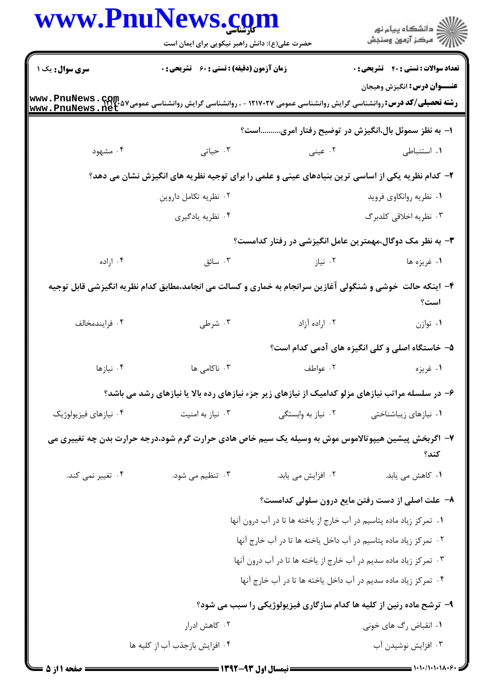|                       | حضرت علی(ع): دانش راهبر نیکویی برای ایمان است                                                                                                         |                                                                                                                | ر<br>دانشڪاه پيام نور)<br>ا∛ مرڪز آزمون وسنڊش                        |
|-----------------------|-------------------------------------------------------------------------------------------------------------------------------------------------------|----------------------------------------------------------------------------------------------------------------|----------------------------------------------------------------------|
| سری سوال: یک ۱        | زمان آزمون (دقیقه) : تستی : 60 ٪ تشریحی : 0                                                                                                           |                                                                                                                | <b>تعداد سوالات : تستی : 40 - تشریحی : 0</b>                         |
|                       | <b>رشته تحصیلی/کد درس: روانشناسی گرایش روانشناسی عمومی ۱۲۱۷۰۲۷ - ، روانشناسی گرایش روانشناسی عمومی۵۷% Www . PnuNews . net<br/>www . PnuNews . net</b> |                                                                                                                | <b>عنـــوان درس:</b> انگیزش وهیجان                                   |
|                       |                                                                                                                                                       |                                                                                                                | ا– به نظز سموئل بال،انگیزش در توضیح رفتار امریاست؟                   |
| ۰۴ مشهود              | ۰۳ حیاتی                                                                                                                                              | ۰۱ استنباطی مسلمان کا استنباطی مسلمان به منابع استنباطی مسلمان مسلمان استنباطی مسلمان استان کرد کرد کرد کرد کر |                                                                      |
|                       | ۲- کدام نظریه یکی از اساسی ترین بنیادهای عینی و علمی را برای توجیه نظریه های انگیزش نشان می دهد؟                                                      |                                                                                                                |                                                                      |
|                       | ۰۲ نظریه تکامل داروین                                                                                                                                 |                                                                                                                | ۰۱ نظریه روانکاوی فروید                                              |
|                       | ۰۴ نظریه یادگیری                                                                                                                                      |                                                                                                                | ۰۳ نظریه اخلاقی کلدبرگ                                               |
|                       |                                                                                                                                                       |                                                                                                                | ۳- به نظر مک دوگال،مهمترین عامل انگیزشی در رفتار کدامست؟             |
| ۰۴ اراده              | ۰۳ سائق                                                                                                                                               | ۰۲ نیاز                                                                                                        | ۰۱ غریزه ها                                                          |
|                       | ۴- اینکه حالت ًخوشی و شنگولی آغازین سرانجام به خماری و کسالت می انجامد،مطابق کدام نظریه انگیزشی قابل توجیه                                            |                                                                                                                | است؟                                                                 |
| ۰۴ فرايندمخالف        | ۰۳ شرطی                                                                                                                                               | ۰۲ اراده آزاد                                                                                                  | ۰۱ توازن                                                             |
|                       |                                                                                                                                                       |                                                                                                                | ۵– خاستگاه اصلی و کلی انگیزه های آدمی کدام است؟                      |
| ۰۴ نیازها             | ۰۳ ناکامی ها                                                                                                                                          | ۰۲ عواطف                                                                                                       | ۰۱ غریزه                                                             |
|                       | ۶- در سلسله مراتب نیازهای مزلو کدامیک از نیازهای زیر جزء نیازهای رده بالا یا نیازهای رشد می باشد؟                                                     |                                                                                                                |                                                                      |
| ۰۴ نیازهای فیزیولوژیک | ۰۳ نیاز به امنیت                                                                                                                                      | ۰۲ نیاز به وابستگی                                                                                             | ۰۱ نیازهای زیباشناختی                                                |
|                       | ۷– اگربخش پیشین هیپوتالاموس موش به وسیله یک سیم خاص هادی حرارت گرم شود،درجه حرارت بدن چه تغییری می                                                    |                                                                                                                | كند؟                                                                 |
| ۰۴ تغییر نمی کند.     | ۰۳ تنظیم می شود.                                                                                                                                      | ۰۲ افزایش می یابد.                                                                                             | ۰۱ کاهش می یابد.                                                     |
|                       |                                                                                                                                                       |                                                                                                                | ٨− علت اصلی از دست رفتن مایع درون سلولی کدامست؟                      |
|                       |                                                                                                                                                       | ۰۱ تمرکز زیاد ماده پتاسیم در آب خارج از یاخته ها تا در آب درون آنها                                            |                                                                      |
|                       |                                                                                                                                                       | ۰۲ تمرکز زیاد ماده پتاسیم در آب داخل یاخته ها تا در آب خارج آنها                                               |                                                                      |
|                       |                                                                                                                                                       | ۰۳ تمرکز زیاد ماده سدیم در آب خارج از یاخته ها تا در آب درون آنها                                              |                                                                      |
|                       |                                                                                                                                                       | ۰۴ تمرکز زیاد ماده سدیم در آب داخل یاخته ها تا در آب خارج آنها                                                 |                                                                      |
|                       |                                                                                                                                                       |                                                                                                                | ۹- ترشح ماده رنین از کلیه ها کدام سازگاری فیزیولوژیکی را سبب می شود؟ |
|                       | ۰۲ کاهش ادرار                                                                                                                                         |                                                                                                                | ۰۱ انقباض رگ های خونی                                                |
|                       | ۰۴ افزایش بازجذب آب از کلیه ها                                                                                                                        |                                                                                                                | ۰۳ افزایش نوشیدن آب                                                  |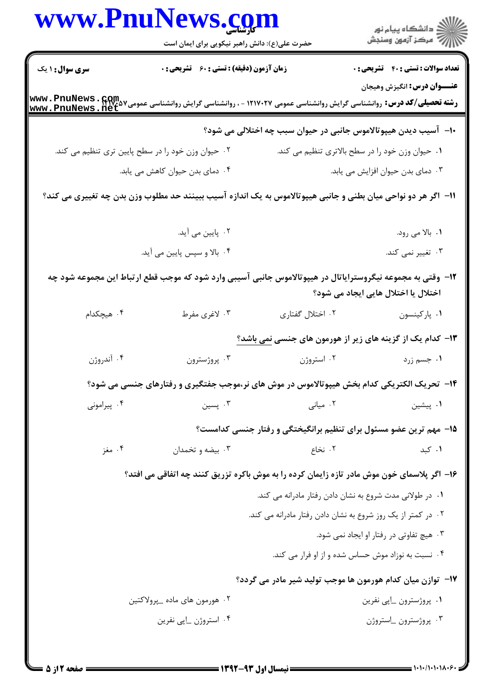|                        | www.PnuNews.com                                                                                                |                                                                           |                                                 |
|------------------------|----------------------------------------------------------------------------------------------------------------|---------------------------------------------------------------------------|-------------------------------------------------|
|                        | حضرت علی(ع): دانش راهبر نیکویی برای ایمان است                                                                  |                                                                           | الاد دانشگاه پيام نور<br>    > مرکز آزمون وسنجش |
| <b>سری سوال :</b> ۱ یک | <b>زمان آزمون (دقیقه) : تستی : 60 ٪ تشریحی : 0</b>                                                             |                                                                           | <b>تعداد سوالات : تستی : 40 - تشریحی : 0</b>    |
|                        |                                                                                                                |                                                                           | <b>عنـــوان درس:</b> انگیزش وهیجان              |
|                        |                                                                                                                | ∙ا− آسیب دیدن هیپوتالاموس جانبی در حیوان سبب چه اختلالی می شود؟           |                                                 |
|                        | ۰۲ حیوان وزن خود را در سطح پایین تری تنظیم می کند.                                                             | ۰۱ حیوان وزن خود را در سطح بالاتری تنظیم می کند.                          |                                                 |
|                        | ۰۴ دمای بدن حیوان کاهش می یابد.                                                                                |                                                                           | ۰۳ دمای بدن حیوان افزایش می یابد.               |
|                        | اا−  اگر هر دو نواحی میان بطنی و جانبی هیپوتالاموس به یک اندازه آسیب ببینند حد مطلوب وزن بدن چه تغییری می کند؟ |                                                                           |                                                 |
|                        | ۰۲ پایین می آید.                                                                                               |                                                                           | ۰۱ بالا می رود.                                 |
|                        | ۰۴ بالا و سپس پایین می آید.                                                                                    |                                                                           | ۰۳ تغییر نمی کند.                               |
|                        | ۱۲– وقتی به مجموعه نیگروسترایاتال در هیپوتالاموس جانبی آسیبی وارد شود که موجب قطع ارتباط این مجموعه شود چه     |                                                                           | اختلال یا اختلال هایی ایجاد می شود؟             |
| ۰۴ هیچکدام             | ۰۳ لاغری مفرط                                                                                                  | ٠٢ اختلال گفتارى                                                          | ٠١ پاركينسون                                    |
|                        |                                                                                                                | <b>۱۳</b> - کدام یک از گزینه های زیر از هورمون های جنسی <u>نمی</u> باشد؟  |                                                 |
| ۰۴ آندروژن             | ۰۳ پروژسترون                                                                                                   | ۰۲ استروژن                                                                | ۰۱ جسم زرد                                      |
|                        | ۱۴- تحریک الکتریکی کدام بخش هیپوتالاموس در موش های نر،موجب جفتگیری و رفتارهای جنسی می شود؟                     |                                                                           |                                                 |
| ۰۴ پیرامونی            | ۰۳ پسین                                                                                                        | ۰۲ میانی                                                                  | ۰۱ پیشین                                        |
|                        |                                                                                                                | <b>۱۵</b> - مهم ترین عضو مسئول برای تنظیم برانگیختگی و رفتار جنسی کدامست؟ |                                                 |
| ۰۴ مغز                 | ۰۳ بیضه و تخمدان                                                                                               | ۰۲ نخاع                                                                   | ۰۱ کبد                                          |
|                        | ۱۶- اگر پلاسمای خون موش مادر تازه زایمان کرده را به موش باکره تزریق کنند چه اتفاقی می افتد؟                    |                                                                           |                                                 |
|                        |                                                                                                                | ۰۱ در طولانی مدت شروع به نشان دادن رفتار مادرانه می کند.                  |                                                 |
|                        |                                                                                                                | ۰۲ در کمتر از یک روز شروع به نشان دادن رفتار مادرانه می کند.              |                                                 |
|                        |                                                                                                                |                                                                           | ۰۳ هیچ تفاوتی در رفتار او ایجاد نمی شود.        |
|                        |                                                                                                                | ۰۴ نسبت به نوزاد موش حساس شده و از او فرار می کند.                        |                                                 |
|                        |                                                                                                                | <b>۱۷</b> - توازن میان کدام هورمون ها موجب تولید شیر مادر می گردد؟        |                                                 |
|                        | ۰۲ هورمون های ماده _پرولاکتين                                                                                  |                                                                           | ٠١. پروژسترون _اپي نفرين                        |
|                        | ۰۴ استروژن _اپي نفرين                                                                                          |                                                                           | ۰۳ پروژسترون _استروژن                           |
|                        |                                                                                                                |                                                                           |                                                 |

 $= 1.1.11.1111.5$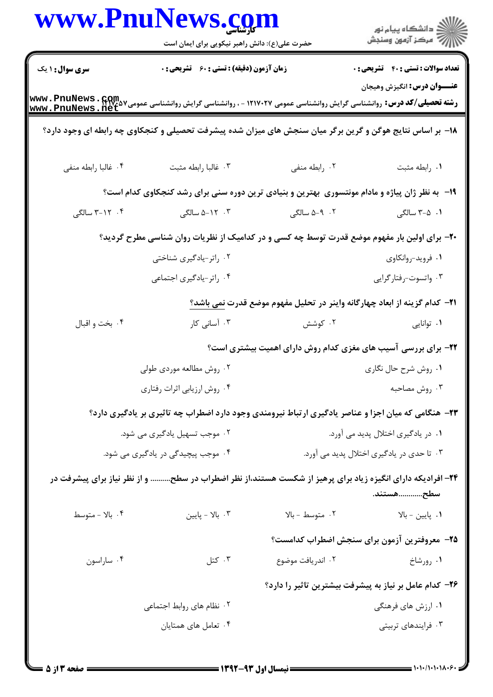|                        | www.PnuNews.com<br>حضرت علی(ع): دانش راهبر نیکویی برای ایمان است                                          |                                                                                          | ر دانشڪاه پيام نور<br>ا∛ مرڪز آزمون وسنڊش    |
|------------------------|-----------------------------------------------------------------------------------------------------------|------------------------------------------------------------------------------------------|----------------------------------------------|
| <b>سری سوال : ۱ یک</b> | <b>زمان آزمون (دقیقه) : تستی : 60 ٪ تشریحی : 0</b>                                                        |                                                                                          | <b>تعداد سوالات : تستی : 40 - تشریحی : .</b> |
|                        |                                                                                                           |                                                                                          | <b>عنـــوان درس:</b> انگیزش وهیجان           |
|                        | ۱۸– بر اساس نتایج هوگن و گرین برگر میان سنجش های میزان شده پیشرفت تحصیلی و کنجکاوی چه رابطه ای وجود دارد؟ |                                                                                          |                                              |
| ۰۴ غالبا رابطه منفى    | ٠٣ غالبا رابطه مثبت                                                                                       | ٠٢ رابطه منفى                                                                            | ٠١. رابطه مثبت                               |
|                        | ۱۹- به نظر ژان پیاژه و مادام مونتسوری بهترین و بنیادی ترین دوره سنی برای رشد کنجکاوی کدام است؟            |                                                                                          |                                              |
| ۰۴ - ۲۱-۳ سالگی        | ۰۳ - ۵–۵ سالگی                                                                                            | ۰۲ - ۵–۵ سالگی                                                                           | ۰۱ ۲-۵ سالگی                                 |
|                        | +۲- برای اولین بار مفهوم موضع قدرت توسط چه کسی و در کدامیک از نظریات روان شناسی مطرح گردید؟               |                                                                                          |                                              |
|                        | ۰۲ راتر-یادگیری شناختی                                                                                    |                                                                                          | ۰۱ فروید-روانکاوی                            |
|                        | ۰۴ راتر-یادگیری اجتماعی                                                                                   |                                                                                          | ۰۳ واتسوت-رفتارگرايي                         |
|                        |                                                                                                           | <b>ا۲− کدام گزینه از ابعاد چهارگانه واینر در تحلیل مفهوم موضع قدرت <u>نمی</u> باشد؟ِ</b> |                                              |
| ۰۴ بخت و اقبال         | ۰۳ آسانی کار                                                                                              | ۰۲ کوشش                                                                                  | ۰۱ توانایی                                   |
|                        |                                                                                                           | ۲۲- برای بررسی آسیب های مغزی کدام روش دارای اهمیت بیشتری است؟                            |                                              |
|                        | ۰۲ روش مطالعه موردی طولی                                                                                  |                                                                                          | ۰۱ روش شرح حال نگاری                         |
|                        | ۰۴ روش ارزيابي اثرات رفتاري                                                                               |                                                                                          | ۰۳ روش مصاحبه                                |
|                        | ۲۳- هنگامی که میان اجزا و عناصر یادگیری ارتباط نیرومندی وجود دارد اضطراب چه تاثیری بر یادگیری دارد؟       |                                                                                          |                                              |
|                        | ۰۲ موجب تسهیل یادگیری می شود.                                                                             |                                                                                          | ۰۱ در یادگیری اختلال پدید می آورد.           |
|                        | ۰۴ موجب پیچیدگی در یادگیری می شود.                                                                        |                                                                                          | ۰۳ تا حدی در یادگیری اختلال پدید می آورد.    |
|                        | ۲۴– افرادیکه دارای انگیزه زیاد برای پرهیز از شکست هستند،از نظر اضطراب در سطح و از نظر نیاز برای پیشرفت در |                                                                                          | سطح………………………………                              |
| ۰۴ بالا - متوسط        | ا بالا - پايين $\cdot^{\mathsf{v}}$                                                                       | ۰۲ متوسط - بالا                                                                          | ۰۱ پایین – بالا                              |
|                        |                                                                                                           |                                                                                          | ۲۵– معروفترین آزمون برای سنجش اضطراب کدامست؟ |
| ۰۴ ساراسون             | ۰۳ کتل                                                                                                    | ۰۲ اندریافت موضوع                                                                        | ۰۱ رورشاخ                                    |
|                        |                                                                                                           | ۲۶– کدام عامل بر نیاز به پیشرفت بیشترین تاثیر را دارد؟                                   |                                              |
|                        | ٢. نظام های روابط اجتماعی                                                                                 |                                                                                          | ۰۱ ارزش های فرهنگی                           |
|                        | ۰۴ تعامل های همتایان                                                                                      |                                                                                          | ۰۳ فرایندهای تربیتی                          |
|                        |                                                                                                           |                                                                                          |                                              |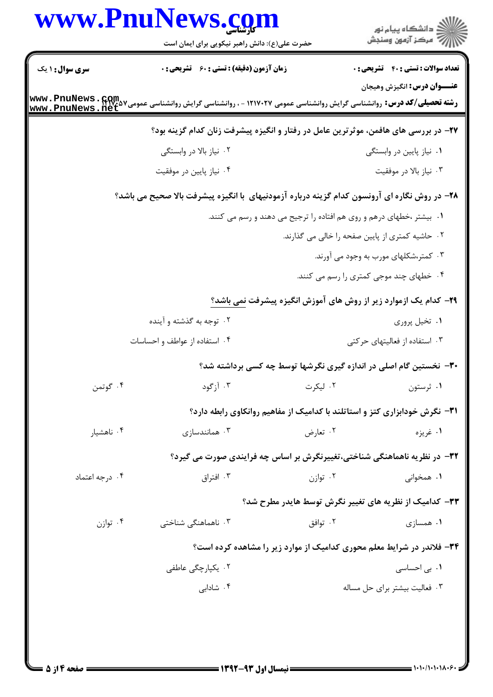|                        | حضرت علی(ع): دانش راهبر نیکویی برای ایمان است                                                                                                   |          | ر<br>دانشڪاه پيام نور)<br>ا∛ مرڪز آزمون وسنڊش                                   |
|------------------------|-------------------------------------------------------------------------------------------------------------------------------------------------|----------|---------------------------------------------------------------------------------|
| <b>سری سوال :</b> ۱ یک | زمان آزمون (دقیقه) : تستی : 60 - تشریحی : 0                                                                                                     |          | <b>تعداد سوالات : تستی : 40 - تشریحی : 0</b>                                    |
|                        | <b>رشته تحصیلی/کد درس:</b> روانشناسی گرایش روانشناسی عمومی ۱۲۱۷۰۲۷ - ، روانشناسی گرایش روانشناسی عمومی2۷٬۰۵۷ Mww. PnuNews<br>www. PnuNews . net |          | عنـــوان درس: انگیزش وهیجان                                                     |
|                        | ۲۷– در بررسی های هافمن، موثرترین عامل در رفتار و انگیزه پیشرفت زنان کدام گزینه بود؟                                                             |          |                                                                                 |
|                        | ۰۲ نیاز بالا در وابستگی                                                                                                                         |          | ۰۱ نیاز پایین در وابستگی                                                        |
|                        | ۰۴ نیاز پایین در موفقیت                                                                                                                         |          | ۰۳ نیاز بالا در موفقیت                                                          |
|                        | ۲۸- در روش نگاره ای آرونسون کدام گزینه درباره آزمودنیهای با انگیزه پیشرفت بالا صحیح می باشد؟                                                    |          |                                                                                 |
|                        |                                                                                                                                                 |          | ۰۱ بیشتر ،خطهای درهم و روی هم افتاده را ترجیح می دهند و رسم می کنند.            |
|                        |                                                                                                                                                 |          | ۰۲ حاشیه کمتری از پایین صفحه را خالی می گذارند.                                 |
|                        |                                                                                                                                                 |          | ۰۳ کمتر،شکلهای مورب به وجود می آورند.                                           |
|                        |                                                                                                                                                 |          | ۰۴ خطهای چند موجی کمتری را رسم می کنند.                                         |
|                        |                                                                                                                                                 |          | <b>۲۹</b> - کدام یک ازموارد زیر از روش های آموزش انگیزه پیشرفت <u>نمی باشد؟</u> |
|                        | ۰۲ توجه به گذشته و آینده                                                                                                                        |          | ۰۱ تخیل پروری                                                                   |
|                        | ۰۴ استفاده از عواطف و احساسات                                                                                                                   |          | ۰۳ استفاده از فعالیتهای حرکتی                                                   |
|                        |                                                                                                                                                 |          | ۳۰– نخستین گام اصلی در اندازه گیری نگرشها توسط چه کسی برداشته شد؟               |
| ۰۴ گوتمن               | ۰۳ آ; گود                                                                                                                                       | ۰۲ لیکرت | ۰۱ ثرستون                                                                       |
|                        |                                                                                                                                                 |          | ۳۱- نگرش خودابزاری کتز و استاتلند با کدامیک از مفاهیم روانکاوی رابطه دارد؟      |
| ۰۴ ناهشیار             | همانندسازی $\cdot$ ۳                                                                                                                            | ۰۲ تعارض | ۱. غريزه                                                                        |
|                        | ۳۲- در نظریه ناهماهنگی شناختی،تغییرنگرش بر اساس چه فرایندی صورت می گیرد؟                                                                        |          |                                                                                 |
| ۰۴ درجه اعتماد         | ۰۳ افتراق                                                                                                                                       | ۰۲ توازن | ۰۱ همخوان <i>ی</i>                                                              |
|                        |                                                                                                                                                 |          | ۳۳– کدامیک از نظریه های تغییر نگرش توسط هایدر مطرح شد؟                          |
| ۰۴ توازن               | ۰۳ ناهماهنگی شناختی                                                                                                                             | ۰۲ توافق | ۰۱ همسازی                                                                       |
|                        |                                                                                                                                                 |          | ۳۴- فلاندر در شرایط معلم محوری کدامیک از موارد زیر را مشاهده کرده است؟          |
|                        | ۰۲ یکپا <sub>ر</sub> چگی عاطفی                                                                                                                  |          | ۰۱ ب <sub>ی</sub> احساسی                                                        |
|                        | ۰۴ شادابی                                                                                                                                       |          | ۰۳ فعالیت بیشتر برای حل مساله                                                   |
|                        |                                                                                                                                                 |          |                                                                                 |